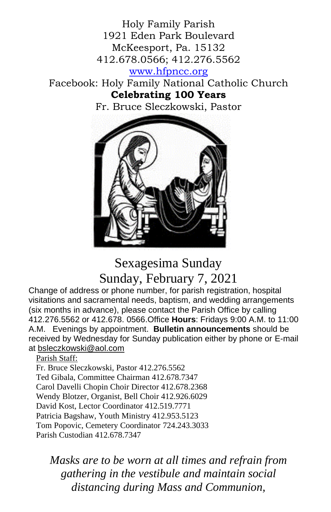Holy Family Parish 1921 Eden Park Boulevard McKeesport, Pa. 15132 412.678.0566; 412.276.5562

[www.hfpncc.org](http://www.hfpncc.org/)

Facebook: Holy Family National Catholic Church **Celebrating 100 Years**

Fr. Bruce Sleczkowski, Pastor



# Sexagesima Sunday Sunday, February 7, 2021

Change of address or phone number, for parish registration, hospital visitations and sacramental needs, baptism, and wedding arrangements (six months in advance), please contact the Parish Office by calling 412.276.5562 or 412.678. 0566.Office **Hours**: Fridays 9:00 A.M. to 11:00 A.M. Evenings by appointment. **Bulletin announcements** should be received by Wednesday for Sunday publication either by phone or E-mail at [bsleczkowski@aol.com](mailto:bsleczkowski@aol.com)

Parish Staff:

Fr. Bruce Sleczkowski, Pastor 412.276.5562 Ted Gibala, Committee Chairman 412.678.7347 Carol Davelli Chopin Choir Director 412.678.2368 Wendy Blotzer, Organist, Bell Choir 412.926.6029 David Kost, Lector Coordinator 412.519.7771 Patricia Bagshaw, Youth Ministry 412.953.5123 Tom Popovic, Cemetery Coordinator 724.243.3033 Parish Custodian 412.678.7347

*Masks are to be worn at all times and refrain from gathering in the vestibule and maintain social distancing during Mass and Communion,*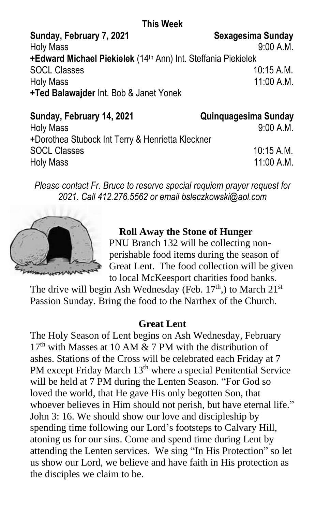### **This Week**

Sunday, February 7, 2021 Sexagesima Sunday Holy Mass 9:00 A.M. **+Edward Michael Piekielek** (14 th Ann) Int. Steffania Piekielek SOCL Classes 10:15 A M Holy Mass 11:00 A.M. **+Ted Balawajder** Int. Bob & Janet Yonek

| Sunday, February 14, 2021                        | <b>Quinquagesima Sunday</b> |
|--------------------------------------------------|-----------------------------|
| <b>Holy Mass</b>                                 | 9:00 A.M.                   |
| +Dorothea Stubock Int Terry & Henrietta Kleckner |                             |
| <b>SOCL Classes</b>                              | $10:15$ A.M.                |
| <b>Holy Mass</b>                                 | $11:00$ A.M.                |

*Please contact Fr. Bruce to reserve special requiem prayer request for 2021. Call 412.276.5562 or email bsleczkowski@aol.com*



## **Roll Away the Stone of Hunger**

PNU Branch 132 will be collecting nonperishable food items during the season of Great Lent. The food collection will be given to local McKeesport charities food banks.

The drive will begin Ash Wednesday (Feb.  $17<sup>th</sup>$ ) to March  $21<sup>st</sup>$ Passion Sunday. Bring the food to the Narthex of the Church.

#### **Great Lent**

The Holy Season of Lent begins on Ash Wednesday, February  $17<sup>th</sup>$  with Masses at 10 AM & 7 PM with the distribution of ashes. Stations of the Cross will be celebrated each Friday at 7 PM except Friday March 13<sup>th</sup> where a special Penitential Service will be held at 7 PM during the Lenten Season. "For God so loved the world, that He gave His only begotten Son, that whoever believes in Him should not perish, but have eternal life." John 3: 16. We should show our love and discipleship by spending time following our Lord's footsteps to Calvary Hill, atoning us for our sins. Come and spend time during Lent by attending the Lenten services. We sing "In His Protection" so let us show our Lord, we believe and have faith in His protection as the disciples we claim to be.